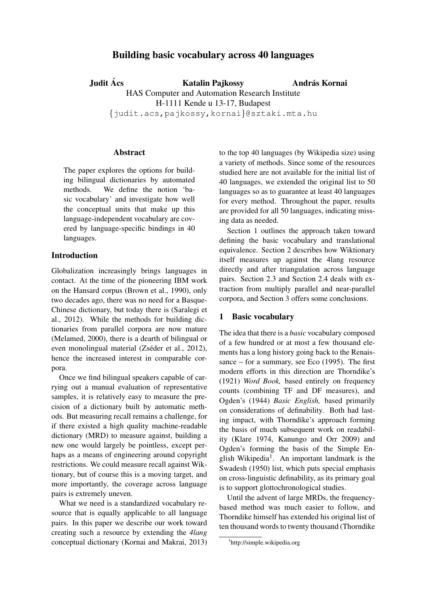# Building basic vocabulary across 40 languages

Judit Ács Katalin Pajkossy HAS Computer and Automation Research Institute H-1111 Kende u 13-17, Budapest {judit.acs,pajkossy,kornai}@sztaki.mta.hu András Kornai

## Abstract

The paper explores the options for building bilingual dictionaries by automated methods. We define the notion 'basic vocabulary' and investigate how well the conceptual units that make up this language-independent vocabulary are covered by language-specific bindings in 40 languages.

# Introduction

Globalization increasingly brings languages in contact. At the time of the pioneering IBM work on the Hansard corpus (Brown et al., 1990), only two decades ago, there was no need for a Basque-Chinese dictionary, but today there is (Saralegi et al., 2012). While the methods for building dictionaries from parallel corpora are now mature (Melamed, 2000), there is a dearth of bilingual or even monolingual material (Zséder et al., 2012), hence the increased interest in comparable corpora.

Once we find bilingual speakers capable of carrying out a manual evaluation of representative samples, it is relatively easy to measure the precision of a dictionary built by automatic methods. But measuring recall remains a challenge, for if there existed a high quality machine-readable dictionary (MRD) to measure against, building a new one would largely be pointless, except perhaps as a means of engineering around copyright restrictions. We could measure recall against Wiktionary, but of course this is a moving target, and more importantly, the coverage across language pairs is extremely uneven.

What we need is a standardized vocabulary resource that is equally applicable to all language pairs. In this paper we describe our work toward creating such a resource by extending the *4lang* conceptual dictionary (Kornai and Makrai, 2013) to the top 40 languages (by Wikipedia size) using a variety of methods. Since some of the resources studied here are not available for the initial list of 40 languages, we extended the original list to 50 languages so as to guarantee at least 40 languages for every method. Throughout the paper, results are provided for all 50 languages, indicating missing data as needed.

Section 1 outlines the approach taken toward defining the basic vocabulary and translational equivalence. Section 2 describes how Wiktionary itself measures up against the 4lang resource directly and after triangulation across language pairs. Section 2.3 and Section 2.4 deals with extraction from multiply parallel and near-parallel corpora, and Section 3 offers some conclusions.

## 1 Basic vocabulary

The idea that there is a *basic* vocabulary composed of a few hundred or at most a few thousand elements has a long history going back to the Renaissance – for a summary, see Eco (1995). The first modern efforts in this direction are Thorndike's (1921) *Word Book,* based entirely on frequency counts (combining TF and DF measures), and Ogden's (1944) *Basic English,* based primarily on considerations of definability. Both had lasting impact, with Thorndike's approach forming the basis of much subsequent work on readability (Klare 1974, Kanungo and Orr 2009) and Ogden's forming the basis of the Simple English Wikipedia<sup>1</sup>. An important landmark is the Swadesh (1950) list, which puts special emphasis on cross-linguistic definability, as its primary goal is to support glottochronological studies.

Until the advent of large MRDs, the frequencybased method was much easier to follow, and Thorndike himself has extended his original list of ten thousand words to twenty thousand (Thorndike

<sup>1</sup> http://simple.wikipedia.org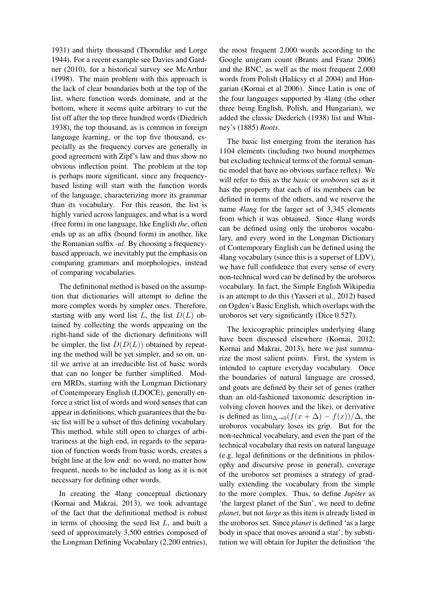1931) and thirty thousand (Thorndike and Lorge 1944). For a recent example see Davies and Gardner (2010), for a historical survey see McArthur (1998). The main problem with this approach is the lack of clear boundaries both at the top of the list, where function words dominate, and at the bottom, where it seems quite arbitrary to cut the list off after the top three hundred words (Diedrich 1938), the top thousand, as is common in foreign language learning, or the top five thousand, especially as the frequency curves are generally in good agreement with Zipf's law and thus show no obvious inflection point. The problem at the top is perhaps more significant, since any frequencybased listing will start with the function words of the language, characterizing more its grammar than its vocabulary. For this reason, the list is highly varied across languages, and what is a word (free form) in one language, like English *the*, often ends up as an affix (bound form) in another, like the Romanian suffix *-ul*. By choosing a frequencybased approach, we inevitably put the emphasis on comparing grammars and morphologies, instead of comparing vocabularies.

The definitional method is based on the assumption that dictionaries will attempt to define the more complex words by simpler ones. Therefore, starting with any word list  $L$ , the list  $D(L)$  obtained by collecting the words appearing on the right-hand side of the dictionary definitions will be simpler, the list  $D(D(L))$  obtained by repeating the method will be yet simpler, and so on, until we arrive at an irreducible list of basic words that can no longer be further simplified. Modern MRDs, starting with the Longman Dictionary of Contemporary English (LDOCE), generally enforce a strict list of words and word senses that can appear in definitions, which guarantees that the basic list will be a subset of this defining vocabulary. This method, while still open to charges of arbitrariness at the high end, in regards to the separation of function words from basic words, creates a bright line at the low end: no word, no matter how frequent, needs to be included as long as it is not necessary for defining other words.

In creating the 4lang conceptual dictionary (Kornai and Makrai, 2013), we took advantage of the fact that the definitional method is robust in terms of choosing the seed list  $L$ , and built a seed of approximately 3,500 entries composed of the Longman Defining Vocabulary (2,200 entries),

the most frequent 2,000 words according to the Google unigram count (Brants and Franz 2006) and the BNC, as well as the most frequent 2,000 words from Polish (Halácsy et al 2004) and Hungarian (Kornai et al 2006). Since Latin is one of the four languages supported by 4lang (the other three being English, Polish, and Hungarian), we added the classic Diederich (1938) list and Whitney's (1885) *Roots*.

The basic list emerging from the iteration has 1104 elements (including two bound morphemes but excluding technical terms of the formal semantic model that have no obvious surface reflex). We will refer to this as the *basic* or *uroboros* set as it has the property that each of its members can be defined in terms of the others, and we reserve the name *4lang* for the larger set of 3,345 elements from which it was obtained. Since 4lang words can be defined using only the uroboros vocabulary, and every word in the Longman Dictionary of Contemporary English can be defined using the 4lang vocabulary (since this is a superset of LDV), we have full confidence that every sense of every non-technical word can be defined by the uroboros vocabulary. In fact, the Simple English Wikipedia is an attempt to do this (Yasseri et al., 2012) based on Ogden's Basic English, which overlaps with the uroboros set very significantly (Dice 0.527).

The lexicographic principles underlying 4lang have been discussed elsewhere (Kornai, 2012; Kornai and Makrai, 2013), here we just summarize the most salient points. First, the system is intended to capture everyday vocabulary. Once the boundaries of natural language are crossed, and goats are defined by their set of genes (rather than an old-fashioned taxonomic description involving cloven hooves and the like), or derivative is defined as  $\lim_{\Delta \to 0} (f(x + \Delta) - f(x))/\Delta$ , the uroboros vocabulary loses its grip. But for the non-technical vocabulary, and even the part of the technical vocabulary that rests on natural language (e.g. legal definitions or the definitions in philosophy and discursive prose in general), coverage of the uroboros set promises a strategy of gradually extending the vocabulary from the simple to the more complex. Thus, to define *Jupiter* as 'the largest planet of the Sun', we need to define *planet*, but not *large* as this item is already listed in the uroboros set. Since *planet* is defined 'as a large body in space that moves around a star', by substitution we will obtain for Jupiter the definition 'the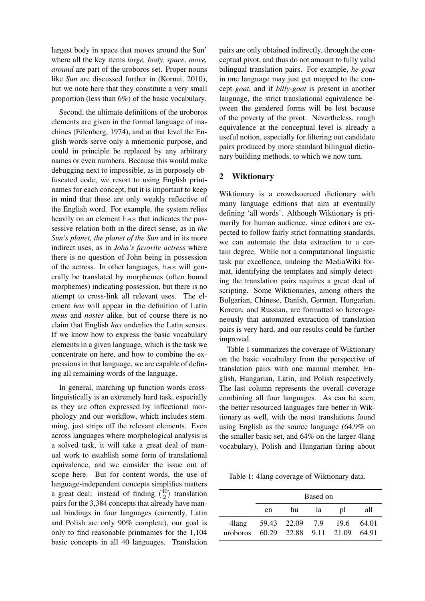largest body in space that moves around the Sun' where all the key items *large, body, space, move, around* are part of the uroboros set. Proper nouns like *Sun* are discussed further in (Kornai, 2010), but we note here that they constitute a very small proportion (less than 6%) of the basic vocabulary.

Second, the ultimate definitions of the uroboros elements are given in the formal language of machines (Eilenberg, 1974), and at that level the English words serve only a mnemonic purpose, and could in principle be replaced by any arbitrary names or even numbers. Because this would make debugging next to impossible, as in purposely obfuscated code, we resort to using English printnames for each concept, but it is important to keep in mind that these are only weakly reflective of the English word. For example, the system relies heavily on an element has that indicates the possessive relation both in the direct sense, as in *the Sun's planet, the planet of the Sun* and in its more indirect uses, as in *John's favorite actress* where there is no question of John being in possession of the actress. In other languages, has will generally be translated by morphemes (often bound morphemes) indicating possession, but there is no attempt to cross-link all relevant uses. The element *has* will appear in the definition of Latin *meus* and *noster* alike, but of course there is no claim that English *has* underlies the Latin senses. If we know how to express the basic vocabulary elements in a given language, which is the task we concentrate on here, and how to combine the expressions in that language, we are capable of defining all remaining words of the language.

In general, matching up function words crosslinguistically is an extremely hard task, especially as they are often expressed by inflectional morphology and our workflow, which includes stemming, just strips off the relevant elements. Even across languages where morphological analysis is a solved task, it will take a great deal of manual work to establish some form of translational equivalence, and we consider the issue out of scope here. But for content words, the use of language-independent concepts simplifies matters a great deal: instead of finding  $\binom{40}{2}$  $\binom{40}{2}$  translation pairs for the 3,384 concepts that already have manual bindings in four languages (currently, Latin and Polish are only 90% complete), our goal is only to find reasonable printnames for the 1,104 basic concepts in all 40 languages. Translation pairs are only obtained indirectly, through the conceptual pivot, and thus do not amount to fully valid bilingual translation pairs. For example, *he-goat* in one language may just get mapped to the concept *goat*, and if *billy-goat* is present in another language, the strict translational equivalence between the gendered forms will be lost because of the poverty of the pivot. Nevertheless, rough equivalence at the conceptual level is already a useful notion, especially for filtering out candidate pairs produced by more standard bilingual dictionary building methods, to which we now turn.

## 2 Wiktionary

Wiktionary is a crowdsourced dictionary with many language editions that aim at eventually defining 'all words'. Although Wiktionary is primarily for human audience, since editors are expected to follow fairly strict formatting standards, we can automate the data extraction to a certain degree. While not a computational linguistic task par excellence, undoing the MediaWiki format, identifying the templates and simply detecting the translation pairs requires a great deal of scripting. Some Wiktionaries, among others the Bulgarian, Chinese, Danish, German, Hungarian, Korean, and Russian, are formatted so heterogeneously that automated extraction of translation pairs is very hard, and our results could be further improved.

Table 1 summarizes the coverage of Wiktionary on the basic vocabulary from the perspective of translation pairs with one manual member, English, Hungarian, Latin, and Polish respectively. The last column represents the overall coverage combining all four languages. As can be seen, the better resourced languages fare better in Wiktionary as well, with the most translations found using English as the source language (64.9% on the smaller basic set, and 64% on the larger 4lang vocabulary), Polish and Hungarian faring about

Table 1: 4lang coverage of Wiktionary data.

|          | Based on |                 |      |                              |     |  |  |
|----------|----------|-----------------|------|------------------------------|-----|--|--|
|          | en       | hu              | la - | $\mathsf{D}$                 | all |  |  |
| 4lang    |          | 59.43 22.09 7.9 |      | 19.6 64.01                   |     |  |  |
| uroboros |          |                 |      | 60.29 22.88 9.11 21.09 64.91 |     |  |  |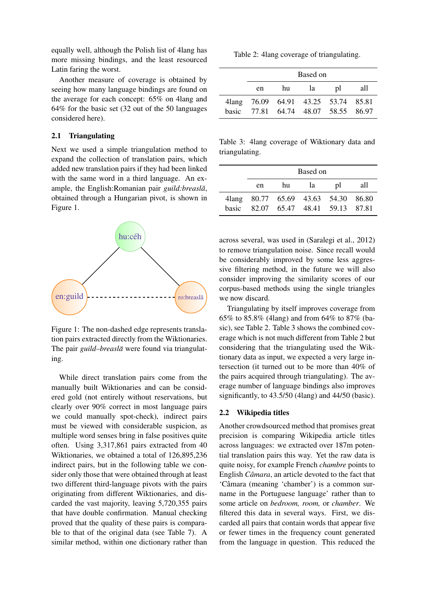equally well, although the Polish list of 4lang has more missing bindings, and the least resourced Latin faring the worst.

Another measure of coverage is obtained by seeing how many language bindings are found on the average for each concept: 65% on 4lang and 64% for the basic set (32 out of the 50 languages considered here).

#### 2.1 Triangulating

Next we used a simple triangulation method to expand the collection of translation pairs, which added new translation pairs if they had been linked with the same word in a third language. An example, the English:Romanian pair *guild:breaslă*, obtained through a Hungarian pivot, is shown in Figure 1.



Figure 1: The non-dashed edge represents translation pairs extracted directly from the Wiktionaries. The pair *guild–breasla*̆ were found via triangulating.

While direct translation pairs come from the manually built Wiktionaries and can be considered gold (not entirely without reservations, but clearly over 90% correct in most language pairs we could manually spot-check), indirect pairs must be viewed with considerable suspicion, as multiple word senses bring in false positives quite often. Using 3,317,861 pairs extracted from 40 Wiktionaries, we obtained a total of 126,895,236 indirect pairs, but in the following table we consider only those that were obtained through at least two different third-language pivots with the pairs originating from different Wiktionaries, and discarded the vast majority, leaving 5,720,355 pairs that have double confirmation. Manual checking proved that the quality of these pairs is comparable to that of the original data (see Table 7). A similar method, within one dictionary rather than

Table 2: 4lang coverage of triangulating.

|        | Based on                            |    |    |    |     |  |
|--------|-------------------------------------|----|----|----|-----|--|
|        | en                                  | hu | la | pl | all |  |
| 4 lang | 76.09 64.91 43.25 53.74 85.81       |    |    |    |     |  |
|        | basic 77.81 64.74 48.07 58.55 86.97 |    |    |    |     |  |

Table 3: 4lang coverage of Wiktionary data and triangulating.

|       | Based on |    |    |                                     |     |
|-------|----------|----|----|-------------------------------------|-----|
|       | en       | hu | la | DI                                  | all |
|       |          |    |    | 41ang 80.77 65.69 43.63 54.30 86.80 |     |
| hasic |          |    |    | 82.07 65.47 48.41 59.13 87.81       |     |

across several, was used in (Saralegi et al., 2012) to remove triangulation noise. Since recall would be considerably improved by some less aggressive filtering method, in the future we will also consider improving the similarity scores of our corpus-based methods using the single triangles we now discard.

Triangulating by itself improves coverage from 65% to 85.8% (4lang) and from 64% to 87% (basic), see Table 2. Table 3 shows the combined coverage which is not much different from Table 2 but considering that the triangulating used the Wiktionary data as input, we expected a very large intersection (it turned out to be more than 40% of the pairs acquired through triangulating). The average number of language bindings also improves significantly, to 43.5/50 (4lang) and 44/50 (basic).

#### 2.2 Wikipedia titles

Another crowdsourced method that promises great precision is comparing Wikipedia article titles across languages: we extracted over 187m potential translation pairs this way. Yet the raw data is quite noisy, for example French *chambre* points to English *Câmara*, an article devoted to the fact that 'Câmara (meaning 'chamber') is a common surname in the Portuguese language' rather than to some article on *bedroom, room,* or *chamber*. We filtered this data in several ways. First, we discarded all pairs that contain words that appear five or fewer times in the frequency count generated from the language in question. This reduced the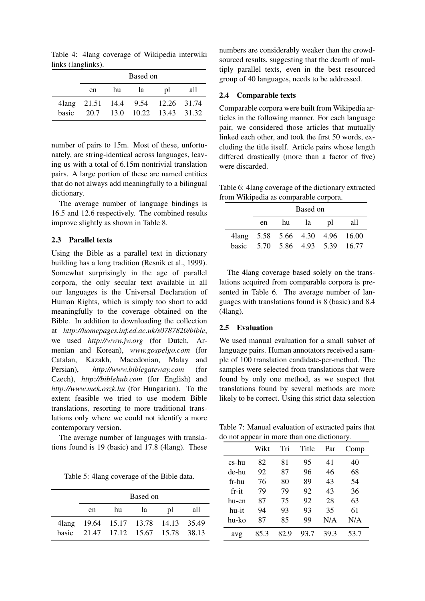Table 4: 4lang coverage of Wikipedia interwiki links (langlinks).

|       | Based on                          |    |    |                             |     |  |
|-------|-----------------------------------|----|----|-----------------------------|-----|--|
|       | en                                | hu | 1a | $\mathbf{D}$                | all |  |
|       | 4lang 21.51 14.4 9.54 12.26 31.74 |    |    |                             |     |  |
| basic |                                   |    |    | 20.7 13.0 10.22 13.43 31.32 |     |  |

number of pairs to 15m. Most of these, unfortunately, are string-identical across languages, leaving us with a total of 6.15m nontrivial translation pairs. A large portion of these are named entities that do not always add meaningfully to a bilingual dictionary.

The average number of language bindings is 16.5 and 12.6 respectively. The combined results improve slightly as shown in Table 8.

## 2.3 Parallel texts

Using the Bible as a parallel text in dictionary building has a long tradition (Resnik et al., 1999). Somewhat surprisingly in the age of parallel corpora, the only secular text available in all our languages is the Universal Declaration of Human Rights, which is simply too short to add meaningfully to the coverage obtained on the Bible. In addition to downloading the collection at *http://homepages.inf.ed.ac.uk/s0787820/bible*, we used *http://www.jw.org* (for Dutch, Armenian and Korean), *www.gospelgo.com* (for Catalan, Kazakh, Macedonian, Malay and Persian), *http://www.biblegateway.com* (for Czech), *http://biblehub.com* (for English) and *http://www.mek.oszk.hu* (for Hungarian). To the extent feasible we tried to use modern Bible translations, resorting to more traditional translations only where we could not identify a more contemporary version.

The average number of languages with translations found is 19 (basic) and 17.8 (4lang). These

Table 5: 4lang coverage of the Bible data.

|              | Based on                            |    |                               |    |     |
|--------------|-------------------------------------|----|-------------------------------|----|-----|
|              | en                                  | hu | la                            | pl | all |
|              | 41ang 19.64 15.17 13.78 14.13 35.49 |    |                               |    |     |
| <b>basic</b> |                                     |    | 21.47 17.12 15.67 15.78 38.13 |    |     |

numbers are considerably weaker than the crowdsourced results, suggesting that the dearth of multiply parallel texts, even in the best resourced group of 40 languages, needs to be addressed.

#### 2.4 Comparable texts

Comparable corpora were built from Wikipedia articles in the following manner. For each language pair, we considered those articles that mutually linked each other, and took the first 50 words, excluding the title itself. Article pairs whose length differed drastically (more than a factor of five) were discarded.

Table 6: 4lang coverage of the dictionary extracted from Wikipedia as comparable corpora.

| Based on |  |          |                                 |                                 |  |
|----------|--|----------|---------------------------------|---------------------------------|--|
| en       |  | hu la pl |                                 | – all                           |  |
|          |  |          |                                 | 41ang 5.58 5.66 4.30 4.96 16.00 |  |
|          |  |          | basic 5.70 5.86 4.93 5.39 16.77 |                                 |  |

The 4lang coverage based solely on the translations acquired from comparable corpora is presented in Table 6. The average number of languages with translations found is 8 (basic) and 8.4 (4lang).

#### 2.5 Evaluation

We used manual evaluation for a small subset of language pairs. Human annotators received a sample of 100 translation candidate-per-method. The samples were selected from translations that were found by only one method, as we suspect that translations found by several methods are more likely to be correct. Using this strict data selection

Table 7: Manual evaluation of extracted pairs that do not appear in more than one dictionary.

| - -   |      |      |       |      |      |
|-------|------|------|-------|------|------|
|       | Wikt | Tri  | Title | Par  | Comp |
| cs-hu | 82   | 81   | 95    | 41   | 40   |
| de-hu | 92   | 87   | 96    | 46   | 68   |
| fr-hu | 76   | 80   | 89    | 43   | 54   |
| fr-it | 79   | 79   | 92    | 43   | 36   |
| hu-en | 87   | 75   | 92    | 28   | 63   |
| hu-it | 94   | 93   | 93    | 35   | 61   |
| hu-ko | 87   | 85   | 99    | N/A  | N/A  |
| avg   | 85 3 | 82.9 | 93 7  | 39.3 | 53.7 |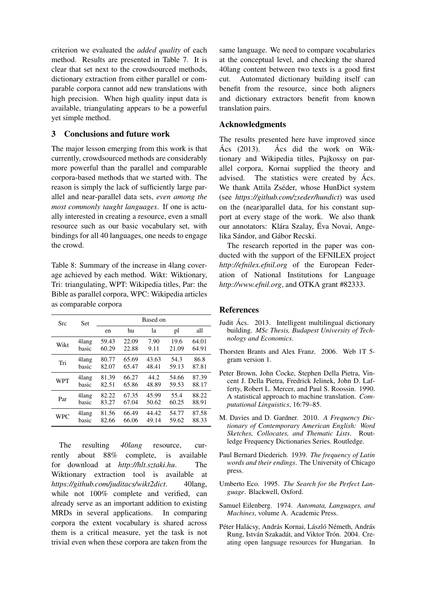criterion we evaluated the *added quality* of each method. Results are presented in Table 7. It is clear that set next to the crowdsourced methods, dictionary extraction from either parallel or comparable corpora cannot add new translations with high precision. When high quality input data is available, triangulating appears to be a powerful yet simple method.

## 3 Conclusions and future work

The major lesson emerging from this work is that currently, crowdsourced methods are considerably more powerful than the parallel and comparable corpora-based methods that we started with. The reason is simply the lack of sufficiently large parallel and near-parallel data sets, *even among the most commonly taught languages*. If one is actually interested in creating a resource, even a small resource such as our basic vocabulary set, with bindings for all 40 languages, one needs to engage the crowd.

Table 8: Summary of the increase in 4lang coverage achieved by each method. Wikt: Wiktionary, Tri: triangulating, WPT: Wikipedia titles, Par: the Bible as parallel corpora, WPC: Wikipedia articles as comparable corpora

| Src        | <b>Set</b> | Based on |       |       |       |       |  |  |
|------------|------------|----------|-------|-------|-------|-------|--|--|
|            |            | en       | hu    | la    | pl    | all   |  |  |
| Wikt       | 4lang      | 59.43    | 22.09 | 7.90  | 19.6  | 64.01 |  |  |
|            | basic      | 60.29    | 22.88 | 9.11  | 21.09 | 64.91 |  |  |
| Tri        | 4lang      | 80.77    | 65.69 | 43.63 | 54.3  | 86.8  |  |  |
|            | basic      | 82.07    | 65.47 | 48.41 | 59.13 | 87.81 |  |  |
| <b>WPT</b> | 4lang      | 81.39    | 66.27 | 44.2  | 54.66 | 87.39 |  |  |
|            | basic      | 82.51    | 65.86 | 48.89 | 59.53 | 88.17 |  |  |
| Par        | 4lang      | 82.22    | 67.35 | 45.99 | 55.4  | 88.22 |  |  |
|            | basic      | 83.27    | 67.04 | 50.62 | 60.25 | 88.91 |  |  |
| <b>WPC</b> | 4lang      | 81.56    | 66.49 | 44.42 | 54.77 | 87.58 |  |  |
|            | hasic      | 82.66    | 66.06 | 49.14 | 59.62 | 88.33 |  |  |

The resulting *40lang* resource, currently about 88% complete, is available for download at *http://hlt.sztaki.hu*. The Wiktionary extraction tool is available at *https://github.com/juditacs/wikt2dict*. 40lang, while not 100% complete and verified, can already serve as an important addition to existing MRDs in several applications. In comparing corpora the extent vocabulary is shared across them is a critical measure, yet the task is not trivial even when these corpora are taken from the

same language. We need to compare vocabularies at the conceptual level, and checking the shared 40lang content between two texts is a good first cut. Automated dictionary building itself can benefit from the resource, since both aligners and dictionary extractors benefit from known translation pairs.

# Acknowledgments

The results presented here have improved since  $\text{Acs}$  (2013).  $\text{Acs}$  did the work on Wiktionary and Wikipedia titles, Pajkossy on parallel corpora, Kornai supplied the theory and advised. The statistics were created by Acs. We thank Attila Zséder, whose HunDict system (see *https://github.com/zseder/hundict*) was used on the (near)parallel data, for his constant support at every stage of the work. We also thank our annotators: Klára Szalay, Éva Novai, Angelika Sándor, and Gábor Recski.

The research reported in the paper was conducted with the support of the EFNILEX project *http://efnilex.efnil.org* of the European Federation of National Institutions for Language *http://www.efnil.org*, and OTKA grant #82333.

### References

- Judit Acs. 2013. Intelligent multilingual dictionary ´ building. *MSc Thesis, Budapest University of Technology and Economics*.
- Thorsten Brants and Alex Franz. 2006. Web 1T 5 gram version 1.
- Peter Brown, John Cocke, Stephen Della Pietra, Vincent J. Della Pietra, Fredrick Jelinek, John D. Lafferty, Robert L. Mercer, and Paul S. Roossin. 1990. A statistical approach to machine translation. *Computational Linguistics*, 16:79–85.
- M. Davies and D. Gardner. 2010. *A Frequency Dictionary of Contemporary American English: Word Sketches, Collocates, and Thematic Lists*. Routledge Frequency Dictionaries Series. Routledge.
- Paul Bernard Diederich. 1939. *The frequency of Latin words and their endings*. The University of Chicago press.
- Umberto Eco. 1995. *The Search for the Perfect Language*. Blackwell, Oxford.
- Samuel Eilenberg. 1974. *Automata, Languages, and Machines*, volume A. Academic Press.
- Péter Halácsy, András Kornai, László Németh, András Rung, István Szakadát, and Viktor Trón. 2004. Creating open language resources for Hungarian. In